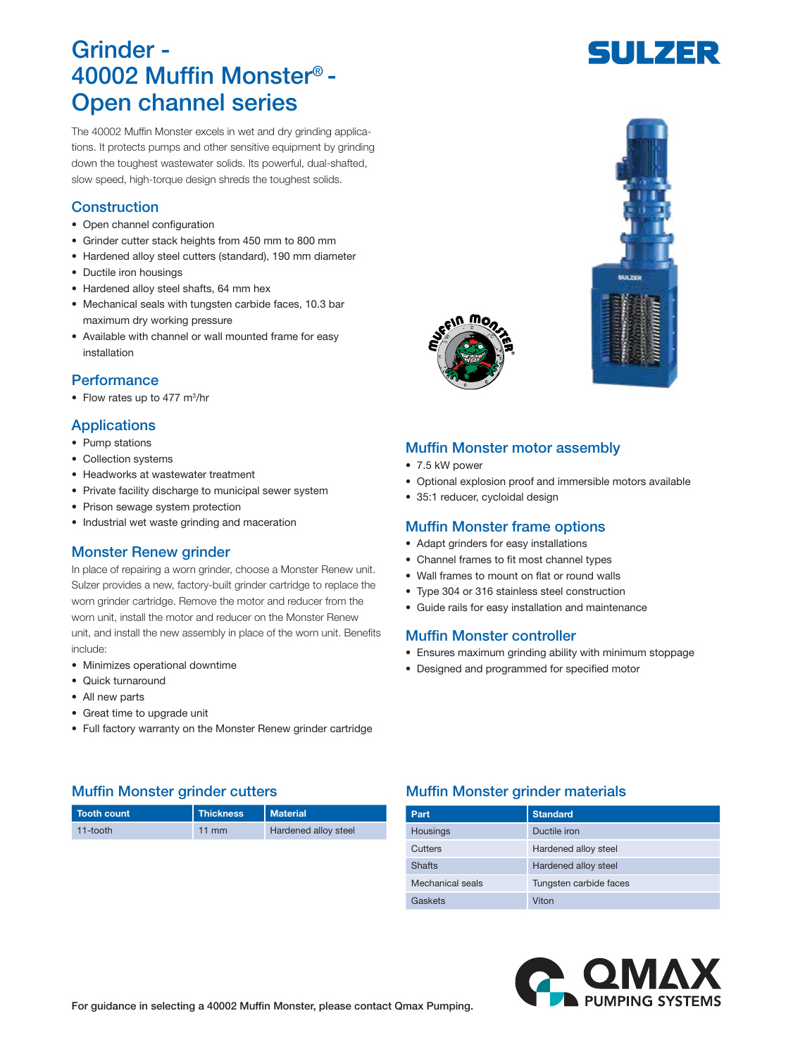# Grinder - 40002 Muffin Monster® - Open channel series

The 40002 Muffin Monster excels in wet and dry grinding applications. It protects pumps and other sensitive equipment by grinding down the toughest wastewater solids. Its powerful, dual-shafted, slow speed, high-torque design shreds the toughest solids.

# **Construction**

- Open channel configuration
- Grinder cutter stack heights from 450 mm to 800 mm
- Hardened alloy steel cutters (standard), 190 mm diameter
- Ductile iron housings
- Hardened alloy steel shafts, 64 mm hex
- Mechanical seals with tungsten carbide faces, 10.3 bar maximum dry working pressure
- Available with channel or wall mounted frame for easy installation

# **Performance**

• Flow rates up to 477 m<sup>3</sup>/hr

# **Applications**

- Pump stations
- Collection systems
- Headworks at wastewater treatment
- Private facility discharge to municipal sewer system
- Prison sewage system protection
- Industrial wet waste grinding and maceration

# Monster Renew grinder

In place of repairing a worn grinder, choose a Monster Renew unit. Sulzer provides a new, factory-built grinder cartridge to replace the worn grinder cartridge. Remove the motor and reducer from the worn unit, install the motor and reducer on the Monster Renew unit, and install the new assembly in place of the worn unit. Benefits include:

- Minimizes operational downtime
- Quick turnaround
- All new parts
- Great time to upgrade unit
- Full factory warranty on the Monster Renew grinder cartridge

# Muffin Monster motor assembly

- 7.5 kW power
- Optional explosion proof and immersible motors available
- 35:1 reducer, cycloidal design

#### Muffin Monster frame options

- Adapt grinders for easy installations
- Channel frames to fit most channel types
- Wall frames to mount on flat or round walls
- Type 304 or 316 stainless steel construction
- Guide rails for easy installation and maintenance

# Muffin Monster controller

- Ensures maximum grinding ability with minimum stoppage
- Designed and programmed for specified motor

| Tooth count | <b>Thickness</b> | Material                    |
|-------------|------------------|-----------------------------|
| 11-tooth    | $11 \text{ mm}$  | <b>Hardened alloy steel</b> |

# Muffin Monster grinder cutters **Muffin Monster grinder materials**

| Part             | <b>Standard</b>        |
|------------------|------------------------|
| Housings         | Ductile iron           |
| Cutters          | Hardened alloy steel   |
| <b>Shafts</b>    | Hardened alloy steel   |
| Mechanical seals | Tungsten carbide faces |
| Gaskets          | Viton                  |



SULZER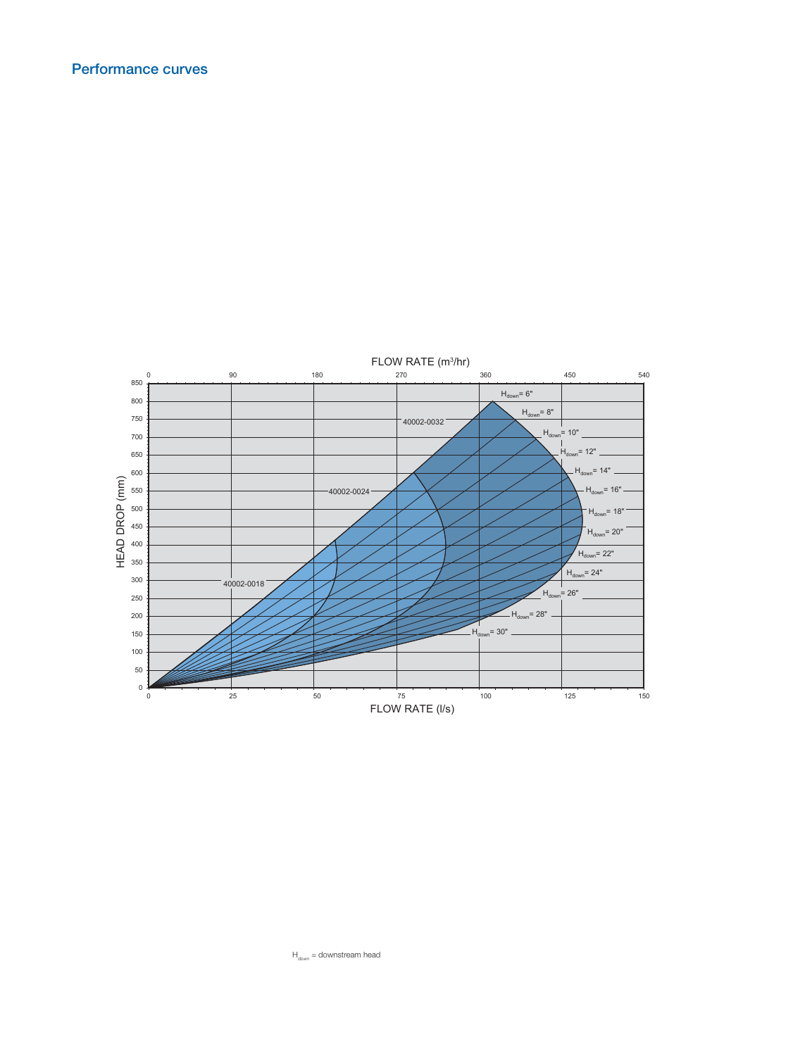

 $H_{down} =$  downstream head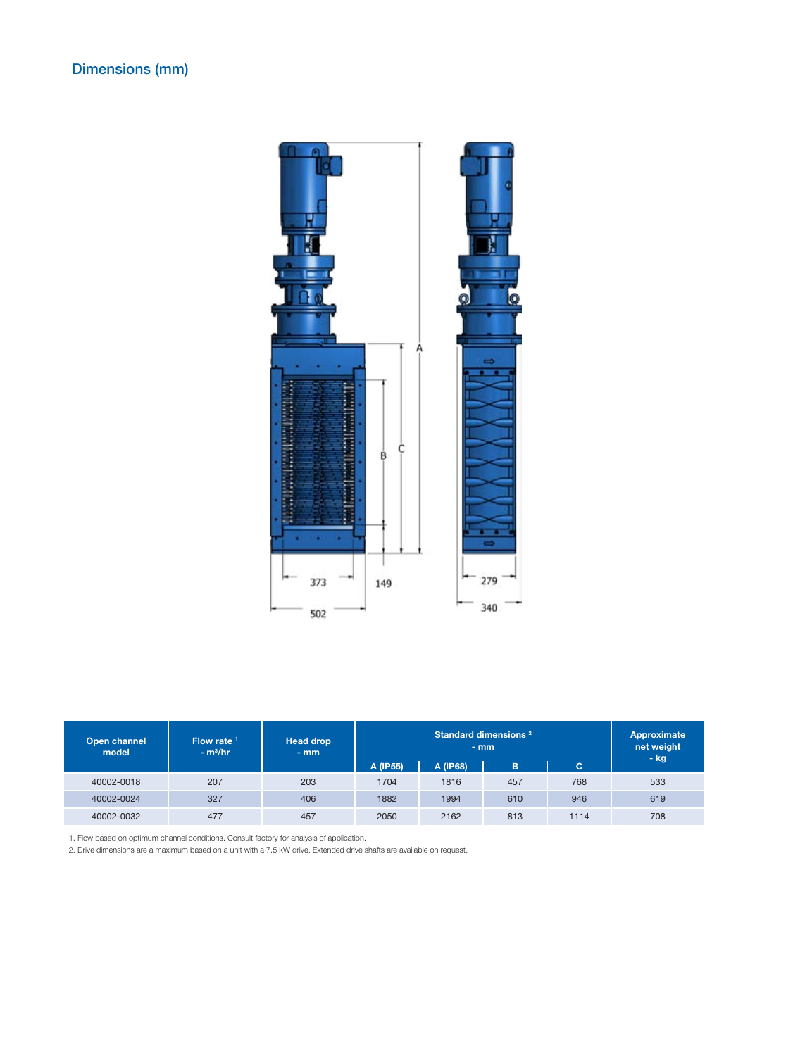

| Open channel<br>model | Flow rate $1$<br>$- m3/hr$ | <b>Head drop</b><br>$-$ mm | Standard dimensions <sup>2</sup><br>$-$ mm |          | Approximate<br>net weight<br>- kg |      |     |
|-----------------------|----------------------------|----------------------------|--------------------------------------------|----------|-----------------------------------|------|-----|
|                       |                            |                            | A (IP55)                                   | A (IP68) | B.                                | c    |     |
| 40002-0018            | 207                        | 203                        | 1704                                       | 1816     | 457                               | 768  | 533 |
| 40002-0024            | 327                        | 406                        | 1882                                       | 1994     | 610                               | 946  | 619 |
| 40002-0032            | 477                        | 457                        | 2050                                       | 2162     | 813                               | 1114 | 708 |

1. Flow based on optimum channel conditions. Consult factory for analysis of application.

2. Drive dimensions are a maximum based on a unit with a 7.5 kW drive. Extended drive shafts are available on request.